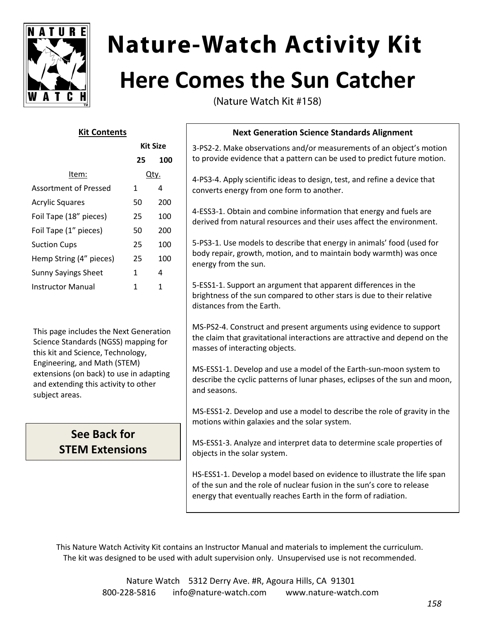

# **Nature-Watch Activity Kit Here Comes the Sun Catcher**

(Nature Watch Kit #158)

## **Kit Contents**

**Kit Size**

|                            | NIL JIZE |     |
|----------------------------|----------|-----|
|                            | 25       | 100 |
| Item:                      | Įtν.     |     |
| Assortment of Pressed      | 1        | 4   |
| <b>Acrylic Squares</b>     | 50       | 200 |
| Foil Tape (18" pieces)     | 25       | 100 |
| Foil Tape (1" pieces)      | 50       | 200 |
| <b>Suction Cups</b>        | 25       | 100 |
| Hemp String (4" pieces)    | 25       | 100 |
| <b>Sunny Sayings Sheet</b> | 1        | 4   |
| Instructor Manual          | 1        | 1   |

This page includes the Next Generation Science Standards (NGSS) mapping for this kit and Science, Technology, Engineering, and Math (STEM) extensions (on back) to use in adapting and extending this activity to other subject areas.

# **See Back for STEM Extensions**

# **Next Generation Science Standards Alignment**

3-PS2-2. Make observations and/or measurements of an object's motion to provide evidence that a pattern can be used to predict future motion.

4-PS3-4. Apply scientific ideas to design, test, and refine a device that converts energy from one form to another.

4-ESS3-1. Obtain and combine information that energy and fuels are derived from natural resources and their uses affect the environment.

5-PS3-1. Use models to describe that energy in animals' food (used for body repair, growth, motion, and to maintain body warmth) was once energy from the sun.

5-ESS1-1. Support an argument that apparent differences in the brightness of the sun compared to other stars is due to their relative distances from the Earth.

MS-PS2-4. Construct and present arguments using evidence to support the claim that gravitational interactions are attractive and depend on the masses of interacting objects.

MS-ESS1-1. Develop and use a model of the Earth-sun-moon system to describe the cyclic patterns of lunar phases, eclipses of the sun and moon, and seasons.

MS-ESS1-2. Develop and use a model to describe the role of gravity in the motions within galaxies and the solar system.

MS-ESS1-3. Analyze and interpret data to determine scale properties of objects in the solar system.

HS-ESS1-1. Develop a model based on evidence to illustrate the life span of the sun and the role of nuclear fusion in the sun's core to release energy that eventually reaches Earth in the form of radiation.

This Nature Watch Activity Kit contains an Instructor Manual and materials to implement the curriculum. The kit was designed to be used with adult supervision only. Unsupervised use is not recommended.